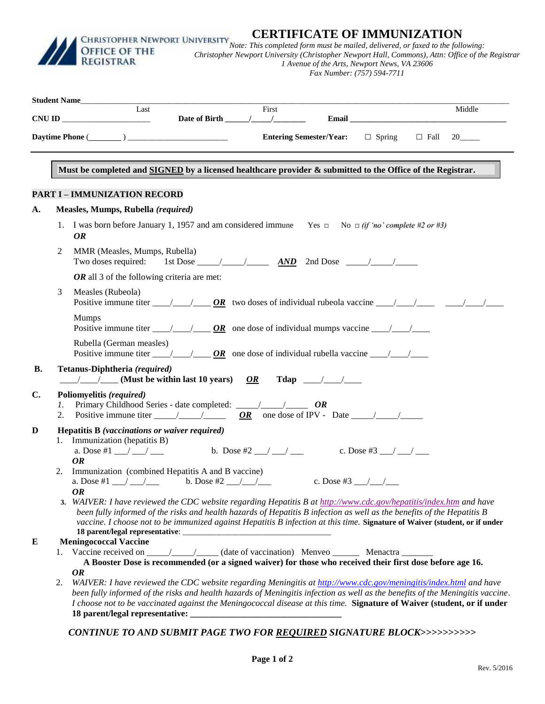| <b>CERTIFICATE OF IMMUNIZATION</b><br>CHRISTOPHER NEWPORT UNIVERSITY Note: This completed form must be mailed, delivered, or faxed to the following:<br><b>OFFICE OF THE</b><br>Christopher Newport University (Christopher Newport Hall, Commons), Attn: Office of the Registrar<br><b>REGISTRAR</b><br>1 Avenue of the Arts, Newport News, VA 23606<br>Fax Number: (757) 594-7711 |                                             |                                                                                                                                                                                                                                                                                                                                                                                                                                                                           |  |  |  |  |  |  |
|-------------------------------------------------------------------------------------------------------------------------------------------------------------------------------------------------------------------------------------------------------------------------------------------------------------------------------------------------------------------------------------|---------------------------------------------|---------------------------------------------------------------------------------------------------------------------------------------------------------------------------------------------------------------------------------------------------------------------------------------------------------------------------------------------------------------------------------------------------------------------------------------------------------------------------|--|--|--|--|--|--|
|                                                                                                                                                                                                                                                                                                                                                                                     |                                             | Last<br>First<br>Middle                                                                                                                                                                                                                                                                                                                                                                                                                                                   |  |  |  |  |  |  |
|                                                                                                                                                                                                                                                                                                                                                                                     |                                             | Date of Birth $\frac{\sqrt{2}}{2}$<br>$\text{CNU ID}$                                                                                                                                                                                                                                                                                                                                                                                                                     |  |  |  |  |  |  |
|                                                                                                                                                                                                                                                                                                                                                                                     |                                             | Daytime Phone $(\_\_)$<br>20<br><b>Entering Semester/Year:</b><br>$\Box$ Spring<br>$\Box$ Fall                                                                                                                                                                                                                                                                                                                                                                            |  |  |  |  |  |  |
|                                                                                                                                                                                                                                                                                                                                                                                     |                                             | Must be completed and SIGNED by a licensed healthcare provider & submitted to the Office of the Registrar.                                                                                                                                                                                                                                                                                                                                                                |  |  |  |  |  |  |
|                                                                                                                                                                                                                                                                                                                                                                                     |                                             | <b>PART I - IMMUNIZATION RECORD</b>                                                                                                                                                                                                                                                                                                                                                                                                                                       |  |  |  |  |  |  |
| А.                                                                                                                                                                                                                                                                                                                                                                                  |                                             | Measles, Mumps, Rubella (required)                                                                                                                                                                                                                                                                                                                                                                                                                                        |  |  |  |  |  |  |
|                                                                                                                                                                                                                                                                                                                                                                                     |                                             | 1. I was born before January 1, 1957 and am considered immune Yes $\Box$ No $\Box$ (if 'no' complete #2 or #3)<br><b>OR</b>                                                                                                                                                                                                                                                                                                                                               |  |  |  |  |  |  |
|                                                                                                                                                                                                                                                                                                                                                                                     | 2                                           | MMR (Measles, Mumps, Rubella)                                                                                                                                                                                                                                                                                                                                                                                                                                             |  |  |  |  |  |  |
|                                                                                                                                                                                                                                                                                                                                                                                     | OR all 3 of the following criteria are met: |                                                                                                                                                                                                                                                                                                                                                                                                                                                                           |  |  |  |  |  |  |
|                                                                                                                                                                                                                                                                                                                                                                                     | 3                                           | Measles (Rubeola)<br>Positive immune titer $\frac{1}{\sqrt{R}}$ two doses of individual rubeola vaccine $\frac{1}{\sqrt{R}}$ $\frac{1}{\sqrt{R}}$                                                                                                                                                                                                                                                                                                                         |  |  |  |  |  |  |
|                                                                                                                                                                                                                                                                                                                                                                                     |                                             | <b>Mumps</b>                                                                                                                                                                                                                                                                                                                                                                                                                                                              |  |  |  |  |  |  |
|                                                                                                                                                                                                                                                                                                                                                                                     |                                             | Rubella (German measles)                                                                                                                                                                                                                                                                                                                                                                                                                                                  |  |  |  |  |  |  |
| <b>B.</b>                                                                                                                                                                                                                                                                                                                                                                           |                                             | Tetanus-Diphtheria (required)<br>$\frac{1}{2}$ (Must be within last 10 years) OR                                                                                                                                                                                                                                                                                                                                                                                          |  |  |  |  |  |  |
| $\mathbf{C}$ .                                                                                                                                                                                                                                                                                                                                                                      | 1.<br>2.                                    | Poliomyelitis (required)                                                                                                                                                                                                                                                                                                                                                                                                                                                  |  |  |  |  |  |  |
| D                                                                                                                                                                                                                                                                                                                                                                                   |                                             | Hepatitis B (vaccinations or waiver required)<br>1. Immunization (hepatitis B)<br>b. Dose #2 __/ __/ __<br>c. Dose #3 __/ __/ __<br>a. Dose #1 __/ __/ ___<br><i>OR</i>                                                                                                                                                                                                                                                                                                   |  |  |  |  |  |  |
|                                                                                                                                                                                                                                                                                                                                                                                     | 2.                                          | Immunization (combined Hepatitis A and B vaccine)<br>a. Dose #1 __/ __/ ___<br><i>OR</i><br>3. WAIVER: I have reviewed the CDC website regarding Hepatitis B at http://www.cdc.gov/hepatitis/index.htm and have<br>been fully informed of the risks and health hazards of Hepatitis B infection as well as the benefits of the Hepatitis B<br>vaccine. I choose not to be immunized against Hepatitis B infection at this time. Signature of Waiver (student, or if under |  |  |  |  |  |  |
| E                                                                                                                                                                                                                                                                                                                                                                                   |                                             | <b>Meningococcal Vaccine</b>                                                                                                                                                                                                                                                                                                                                                                                                                                              |  |  |  |  |  |  |
|                                                                                                                                                                                                                                                                                                                                                                                     |                                             | A Booster Dose is recommended (or a signed waiver) for those who received their first dose before age 16.<br><b>OR</b>                                                                                                                                                                                                                                                                                                                                                    |  |  |  |  |  |  |
|                                                                                                                                                                                                                                                                                                                                                                                     | 2.                                          | WAIVER: I have reviewed the CDC website regarding Meningitis at http://www.cdc.gov/meningitis/index.html and have<br>heen fully informed of the risks and health hazards of Meningitis infection as well as the henefits of the Meningitis vaccine                                                                                                                                                                                                                        |  |  |  |  |  |  |

 *been fully informed of the risks and health hazards of Meningitis infection as well as the benefits of the Meningitis vaccine. I choose not to be vaccinated against the Meningococcal disease at this time.* **Signature of Waiver (student, or if under 18 parent/legal representative: \_\_\_\_\_\_\_\_\_\_\_\_\_\_\_\_\_\_\_\_\_\_\_\_\_\_\_\_\_\_\_\_\_\_** 

*CONTINUE TO AND SUBMIT PAGE TWO FOR REQUIRED SIGNATURE BLOCK***>>>>>>>>>>**